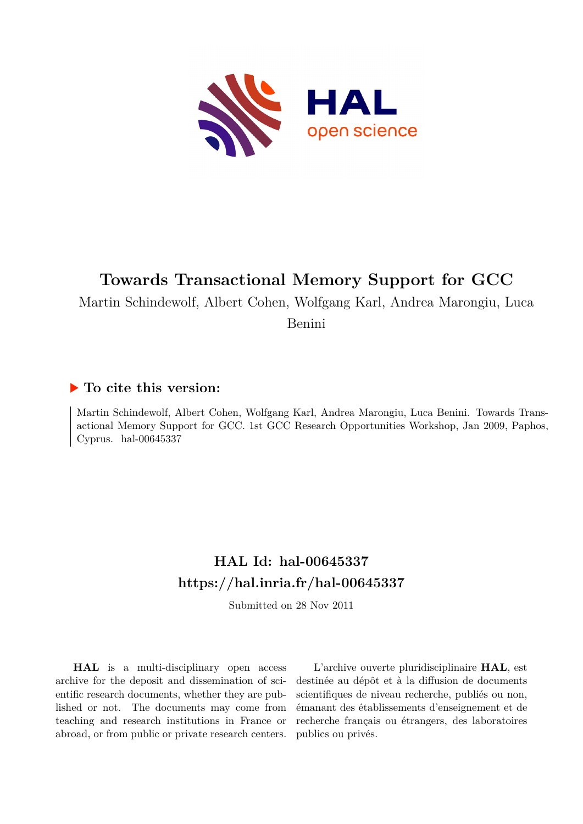

# **Towards Transactional Memory Support for GCC**

Martin Schindewolf, Albert Cohen, Wolfgang Karl, Andrea Marongiu, Luca

Benini

## **To cite this version:**

Martin Schindewolf, Albert Cohen, Wolfgang Karl, Andrea Marongiu, Luca Benini. Towards Transactional Memory Support for GCC. 1st GCC Research Opportunities Workshop, Jan 2009, Paphos, Cyprus. hal- $00645337$ 

# **HAL Id: hal-00645337 <https://hal.inria.fr/hal-00645337>**

Submitted on 28 Nov 2011

**HAL** is a multi-disciplinary open access archive for the deposit and dissemination of scientific research documents, whether they are published or not. The documents may come from teaching and research institutions in France or abroad, or from public or private research centers.

L'archive ouverte pluridisciplinaire **HAL**, est destinée au dépôt et à la diffusion de documents scientifiques de niveau recherche, publiés ou non, émanant des établissements d'enseignement et de recherche français ou étrangers, des laboratoires publics ou privés.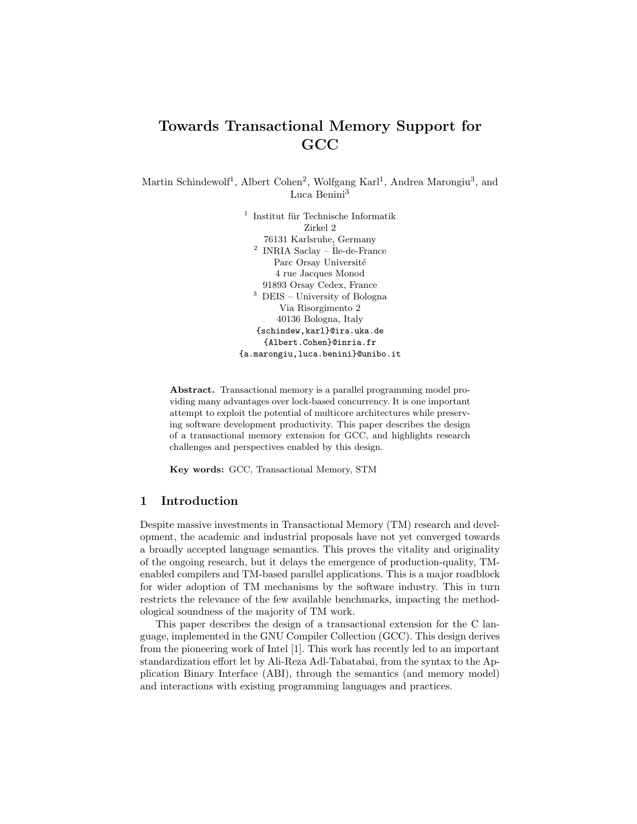## Towards Transactional Memory Support for GCC

Martin Schindewolf<sup>1</sup>, Albert Cohen<sup>2</sup>, Wolfgang Karl<sup>1</sup>, Andrea Marongiu<sup>3</sup>, and Luca Benini<sup>3</sup>

> $^{\rm 1}$ Institut für Technische Informatik Zirkel 2 76131 Karlsruhe, Germany  $2$  INRIA Saclay – Île-de-France Parc Orsay Université 4 rue Jacques Monod 91893 Orsay Cedex, France  $^3\,$  DEIS – University of Bologna Via Risorgimento 2 40136 Bologna, Italy {schindew,karl}@ira.uka.de {Albert.Cohen}@inria.fr {a.marongiu,luca.benini}@unibo.it

Abstract. Transactional memory is a parallel programming model providing many advantages over lock-based concurrency. It is one important attempt to exploit the potential of multicore architectures while preserving software development productivity. This paper describes the design of a transactional memory extension for GCC, and highlights research challenges and perspectives enabled by this design.

Key words: GCC, Transactional Memory, STM

## 1 Introduction

Despite massive investments in Transactional Memory (TM) research and development, the academic and industrial proposals have not yet converged towards a broadly accepted language semantics. This proves the vitality and originality of the ongoing research, but it delays the emergence of production-quality, TMenabled compilers and TM-based parallel applications. This is a major roadblock for wider adoption of TM mechanisms by the software industry. This in turn restricts the relevance of the few available benchmarks, impacting the methodological soundness of the majority of TM work.

This paper describes the design of a transactional extension for the C language, implemented in the GNU Compiler Collection (GCC). This design derives from the pioneering work of Intel [1]. This work has recently led to an important standardization effort let by Ali-Reza Adl-Tabatabai, from the syntax to the Application Binary Interface (ABI), through the semantics (and memory model) and interactions with existing programming languages and practices.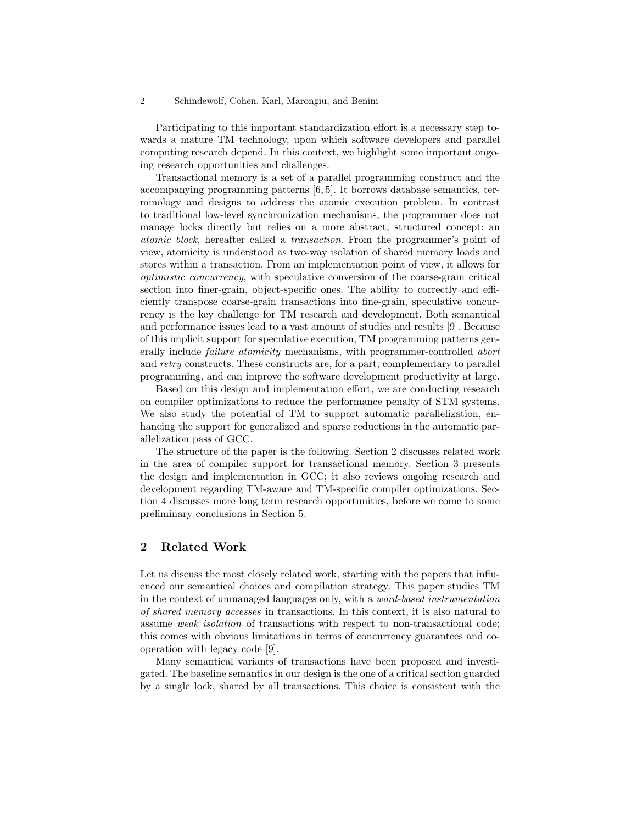#### 2 Schindewolf, Cohen, Karl, Marongiu, and Benini

Participating to this important standardization effort is a necessary step towards a mature TM technology, upon which software developers and parallel computing research depend. In this context, we highlight some important ongoing research opportunities and challenges.

Transactional memory is a set of a parallel programming construct and the accompanying programming patterns [6, 5]. It borrows database semantics, terminology and designs to address the atomic execution problem. In contrast to traditional low-level synchronization mechanisms, the programmer does not manage locks directly but relies on a more abstract, structured concept: an atomic block, hereafter called a transaction. From the programmer's point of view, atomicity is understood as two-way isolation of shared memory loads and stores within a transaction. From an implementation point of view, it allows for optimistic concurrency, with speculative conversion of the coarse-grain critical section into finer-grain, object-specific ones. The ability to correctly and efficiently transpose coarse-grain transactions into fine-grain, speculative concurrency is the key challenge for TM research and development. Both semantical and performance issues lead to a vast amount of studies and results [9]. Because of this implicit support for speculative execution, TM programming patterns generally include failure atomicity mechanisms, with programmer-controlled abort and retry constructs. These constructs are, for a part, complementary to parallel programming, and can improve the software development productivity at large.

Based on this design and implementation effort, we are conducting research on compiler optimizations to reduce the performance penalty of STM systems. We also study the potential of TM to support automatic parallelization, enhancing the support for generalized and sparse reductions in the automatic parallelization pass of GCC.

The structure of the paper is the following. Section 2 discusses related work in the area of compiler support for transactional memory. Section 3 presents the design and implementation in GCC; it also reviews ongoing research and development regarding TM-aware and TM-specific compiler optimizations. Section 4 discusses more long term research opportunities, before we come to some preliminary conclusions in Section 5.

## 2 Related Work

Let us discuss the most closely related work, starting with the papers that influenced our semantical choices and compilation strategy. This paper studies TM in the context of unmanaged languages only, with a word-based instrumentation of shared memory accesses in transactions. In this context, it is also natural to assume weak isolation of transactions with respect to non-transactional code; this comes with obvious limitations in terms of concurrency guarantees and cooperation with legacy code [9].

Many semantical variants of transactions have been proposed and investigated. The baseline semantics in our design is the one of a critical section guarded by a single lock, shared by all transactions. This choice is consistent with the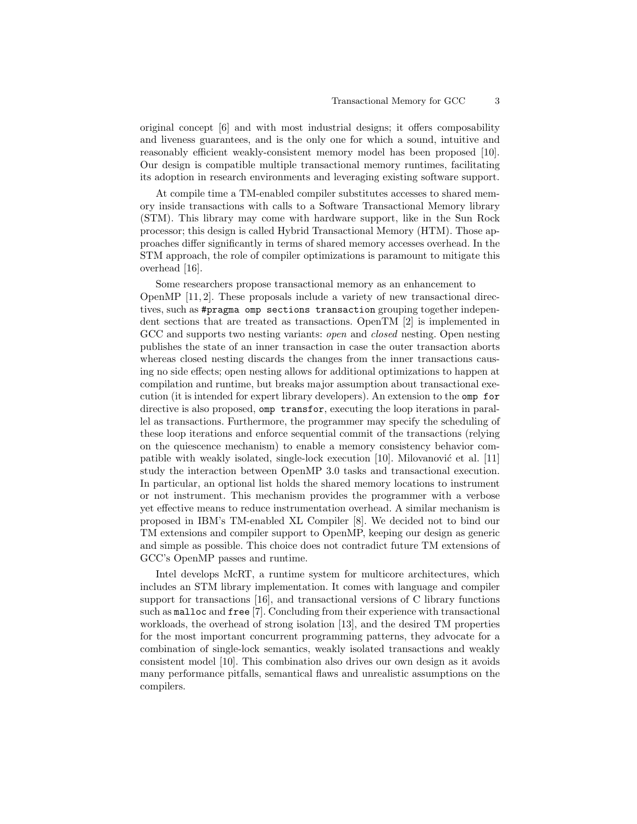original concept [6] and with most industrial designs; it offers composability and liveness guarantees, and is the only one for which a sound, intuitive and reasonably efficient weakly-consistent memory model has been proposed [10]. Our design is compatible multiple transactional memory runtimes, facilitating its adoption in research environments and leveraging existing software support.

At compile time a TM-enabled compiler substitutes accesses to shared memory inside transactions with calls to a Software Transactional Memory library (STM). This library may come with hardware support, like in the Sun Rock processor; this design is called Hybrid Transactional Memory (HTM). Those approaches differ significantly in terms of shared memory accesses overhead. In the STM approach, the role of compiler optimizations is paramount to mitigate this overhead [16].

Some researchers propose transactional memory as an enhancement to OpenMP [11, 2]. These proposals include a variety of new transactional directives, such as #pragma omp sections transaction grouping together independent sections that are treated as transactions. OpenTM [2] is implemented in GCC and supports two nesting variants: *open* and *closed* nesting. Open nesting publishes the state of an inner transaction in case the outer transaction aborts whereas closed nesting discards the changes from the inner transactions causing no side effects; open nesting allows for additional optimizations to happen at compilation and runtime, but breaks major assumption about transactional execution (it is intended for expert library developers). An extension to the omp for directive is also proposed, omp transfor, executing the loop iterations in parallel as transactions. Furthermore, the programmer may specify the scheduling of these loop iterations and enforce sequential commit of the transactions (relying on the quiescence mechanism) to enable a memory consistency behavior compatible with weakly isolated, single-lock execution  $[10]$ . Milovanović et al.  $[11]$ study the interaction between OpenMP 3.0 tasks and transactional execution. In particular, an optional list holds the shared memory locations to instrument or not instrument. This mechanism provides the programmer with a verbose yet effective means to reduce instrumentation overhead. A similar mechanism is proposed in IBM's TM-enabled XL Compiler [8]. We decided not to bind our TM extensions and compiler support to OpenMP, keeping our design as generic and simple as possible. This choice does not contradict future TM extensions of GCC's OpenMP passes and runtime.

Intel develops McRT, a runtime system for multicore architectures, which includes an STM library implementation. It comes with language and compiler support for transactions [16], and transactional versions of C library functions such as malloc and free [7]. Concluding from their experience with transactional workloads, the overhead of strong isolation [13], and the desired TM properties for the most important concurrent programming patterns, they advocate for a combination of single-lock semantics, weakly isolated transactions and weakly consistent model [10]. This combination also drives our own design as it avoids many performance pitfalls, semantical flaws and unrealistic assumptions on the compilers.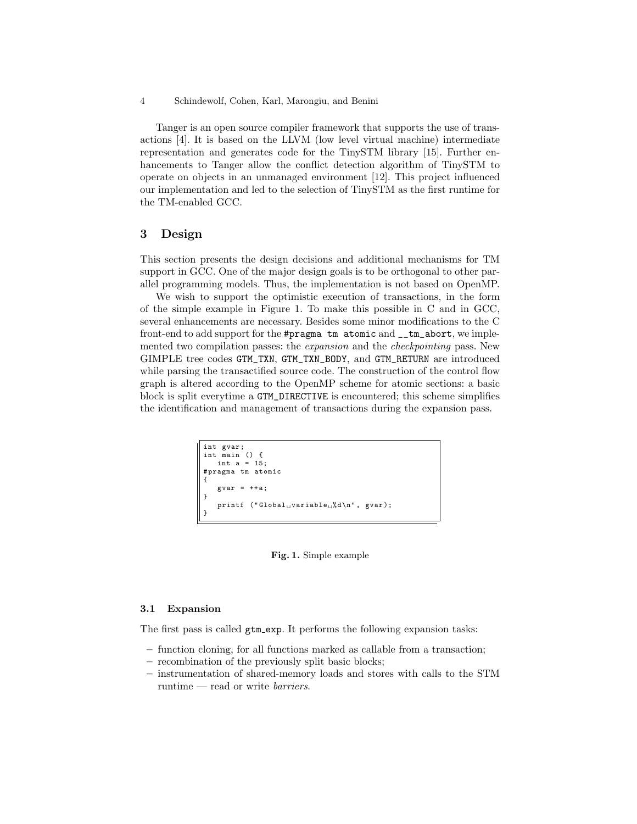4 Schindewolf, Cohen, Karl, Marongiu, and Benini

Tanger is an open source compiler framework that supports the use of transactions [4]. It is based on the LLVM (low level virtual machine) intermediate representation and generates code for the TinySTM library [15]. Further enhancements to Tanger allow the conflict detection algorithm of TinySTM to operate on objects in an unmanaged environment [12]. This project influenced our implementation and led to the selection of TinySTM as the first runtime for the TM-enabled GCC.

## 3 Design

This section presents the design decisions and additional mechanisms for TM support in GCC. One of the major design goals is to be orthogonal to other parallel programming models. Thus, the implementation is not based on OpenMP.

We wish to support the optimistic execution of transactions, in the form of the simple example in Figure 1. To make this possible in C and in GCC, several enhancements are necessary. Besides some minor modifications to the C front-end to add support for the #pragma tm atomic and \_\_tm\_abort, we implemented two compilation passes: the *expansion* and the *checkpointing* pass. New GIMPLE tree codes GTM\_TXN, GTM\_TXN\_BODY, and GTM\_RETURN are introduced while parsing the transactified source code. The construction of the control flow graph is altered according to the OpenMP scheme for atomic sections: a basic block is split everytime a GTM\_DIRECTIVE is encountered; this scheme simplifies the identification and management of transactions during the expansion pass.

```
int gvar ;
int main () {
   int a = 15;
# pragma tm atomic
{
    gvar = ++a;}
   printf ("Global<sub>\cup</sub>variable\cup%d\n",
}
```
Fig. 1. Simple example

#### 3.1 Expansion

The first pass is called  $gtm(exp. It performs the following expansion tasks:$ 

- function cloning, for all functions marked as callable from a transaction;
- recombination of the previously split basic blocks;
- instrumentation of shared-memory loads and stores with calls to the STM runtime — read or write barriers.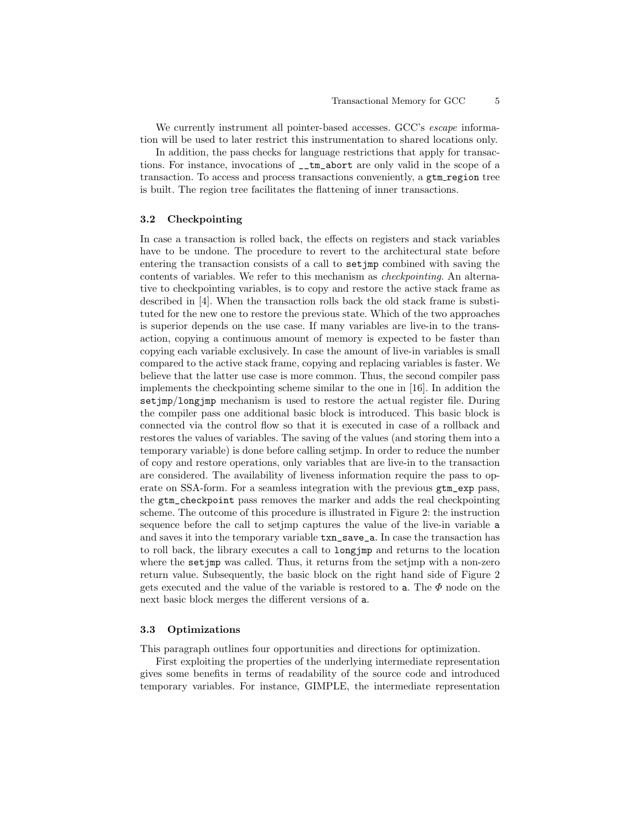We currently instrument all pointer-based accesses. GCC's escape information will be used to later restrict this instrumentation to shared locations only.

In addition, the pass checks for language restrictions that apply for transactions. For instance, invocations of \_\_tm\_abort are only valid in the scope of a transaction. To access and process transactions conveniently, a gtm\_region tree is built. The region tree facilitates the flattening of inner transactions.

#### 3.2 Checkpointing

In case a transaction is rolled back, the effects on registers and stack variables have to be undone. The procedure to revert to the architectural state before entering the transaction consists of a call to setjmp combined with saving the contents of variables. We refer to this mechanism as checkpointing. An alternative to checkpointing variables, is to copy and restore the active stack frame as described in [4]. When the transaction rolls back the old stack frame is substituted for the new one to restore the previous state. Which of the two approaches is superior depends on the use case. If many variables are live-in to the transaction, copying a continuous amount of memory is expected to be faster than copying each variable exclusively. In case the amount of live-in variables is small compared to the active stack frame, copying and replacing variables is faster. We believe that the latter use case is more common. Thus, the second compiler pass implements the checkpointing scheme similar to the one in [16]. In addition the setjmp/longjmp mechanism is used to restore the actual register file. During the compiler pass one additional basic block is introduced. This basic block is connected via the control flow so that it is executed in case of a rollback and restores the values of variables. The saving of the values (and storing them into a temporary variable) is done before calling setjmp. In order to reduce the number of copy and restore operations, only variables that are live-in to the transaction are considered. The availability of liveness information require the pass to operate on SSA-form. For a seamless integration with the previous gtm\_exp pass, the gtm\_checkpoint pass removes the marker and adds the real checkpointing scheme. The outcome of this procedure is illustrated in Figure 2: the instruction sequence before the call to setjmp captures the value of the live-in variable a and saves it into the temporary variable txn\_save\_a. In case the transaction has to roll back, the library executes a call to longjmp and returns to the location where the setjmp was called. Thus, it returns from the setjmp with a non-zero return value. Subsequently, the basic block on the right hand side of Figure 2 gets executed and the value of the variable is restored to a. The  $\Phi$  node on the next basic block merges the different versions of a.

#### 3.3 Optimizations

This paragraph outlines four opportunities and directions for optimization.

First exploiting the properties of the underlying intermediate representation gives some benefits in terms of readability of the source code and introduced temporary variables. For instance, GIMPLE, the intermediate representation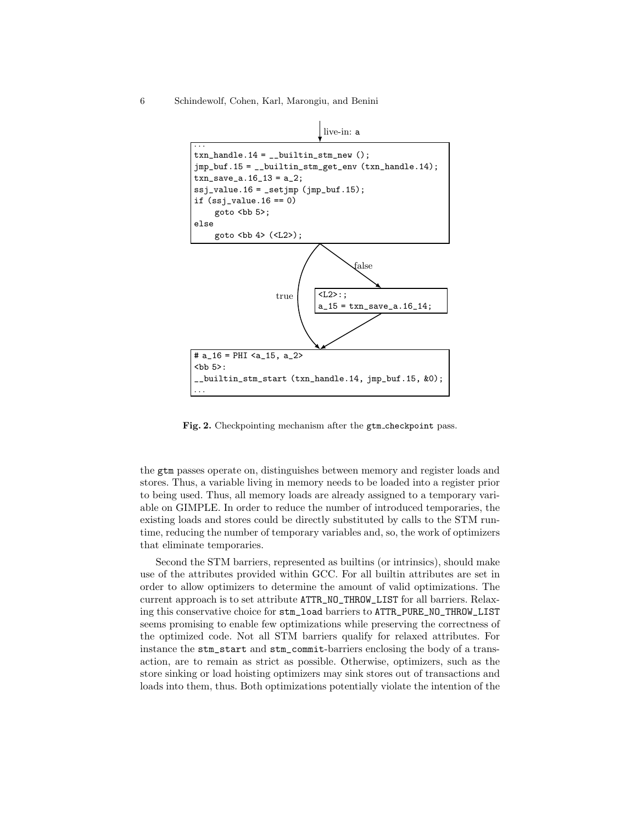6 Schindewolf, Cohen, Karl, Marongiu, and Benini



Fig. 2. Checkpointing mechanism after the gtm\_checkpoint pass.

the gtm passes operate on, distinguishes between memory and register loads and stores. Thus, a variable living in memory needs to be loaded into a register prior to being used. Thus, all memory loads are already assigned to a temporary variable on GIMPLE. In order to reduce the number of introduced temporaries, the existing loads and stores could be directly substituted by calls to the STM runtime, reducing the number of temporary variables and, so, the work of optimizers that eliminate temporaries.

Second the STM barriers, represented as builtins (or intrinsics), should make use of the attributes provided within GCC. For all builtin attributes are set in order to allow optimizers to determine the amount of valid optimizations. The current approach is to set attribute ATTR\_NO\_THROW\_LIST for all barriers. Relaxing this conservative choice for stm\_load barriers to ATTR\_PURE\_NO\_THROW\_LIST seems promising to enable few optimizations while preserving the correctness of the optimized code. Not all STM barriers qualify for relaxed attributes. For instance the stm\_start and stm\_commit-barriers enclosing the body of a transaction, are to remain as strict as possible. Otherwise, optimizers, such as the store sinking or load hoisting optimizers may sink stores out of transactions and loads into them, thus. Both optimizations potentially violate the intention of the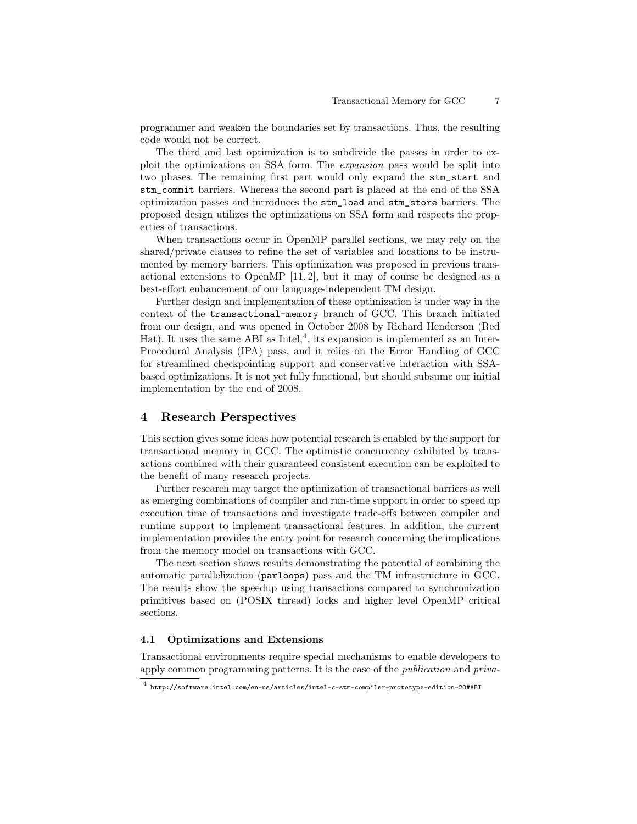programmer and weaken the boundaries set by transactions. Thus, the resulting code would not be correct.

The third and last optimization is to subdivide the passes in order to exploit the optimizations on SSA form. The expansion pass would be split into two phases. The remaining first part would only expand the stm\_start and stm\_commit barriers. Whereas the second part is placed at the end of the SSA optimization passes and introduces the stm\_load and stm\_store barriers. The proposed design utilizes the optimizations on SSA form and respects the properties of transactions.

When transactions occur in OpenMP parallel sections, we may rely on the shared/private clauses to refine the set of variables and locations to be instrumented by memory barriers. This optimization was proposed in previous transactional extensions to OpenMP  $[11, 2]$ , but it may of course be designed as a best-effort enhancement of our language-independent TM design.

Further design and implementation of these optimization is under way in the context of the transactional-memory branch of GCC. This branch initiated from our design, and was opened in October 2008 by Richard Henderson (Red Hat). It uses the same ABI as Intel,<sup>4</sup>, its expansion is implemented as an Inter-Procedural Analysis (IPA) pass, and it relies on the Error Handling of GCC for streamlined checkpointing support and conservative interaction with SSAbased optimizations. It is not yet fully functional, but should subsume our initial implementation by the end of 2008.

## 4 Research Perspectives

This section gives some ideas how potential research is enabled by the support for transactional memory in GCC. The optimistic concurrency exhibited by transactions combined with their guaranteed consistent execution can be exploited to the benefit of many research projects.

Further research may target the optimization of transactional barriers as well as emerging combinations of compiler and run-time support in order to speed up execution time of transactions and investigate trade-offs between compiler and runtime support to implement transactional features. In addition, the current implementation provides the entry point for research concerning the implications from the memory model on transactions with GCC.

The next section shows results demonstrating the potential of combining the automatic parallelization (parloops) pass and the TM infrastructure in GCC. The results show the speedup using transactions compared to synchronization primitives based on (POSIX thread) locks and higher level OpenMP critical sections.

### 4.1 Optimizations and Extensions

Transactional environments require special mechanisms to enable developers to apply common programming patterns. It is the case of the publication and priva-

<sup>4</sup> http://software.intel.com/en-us/articles/intel-c-stm-compiler-prototype-edition-20#ABI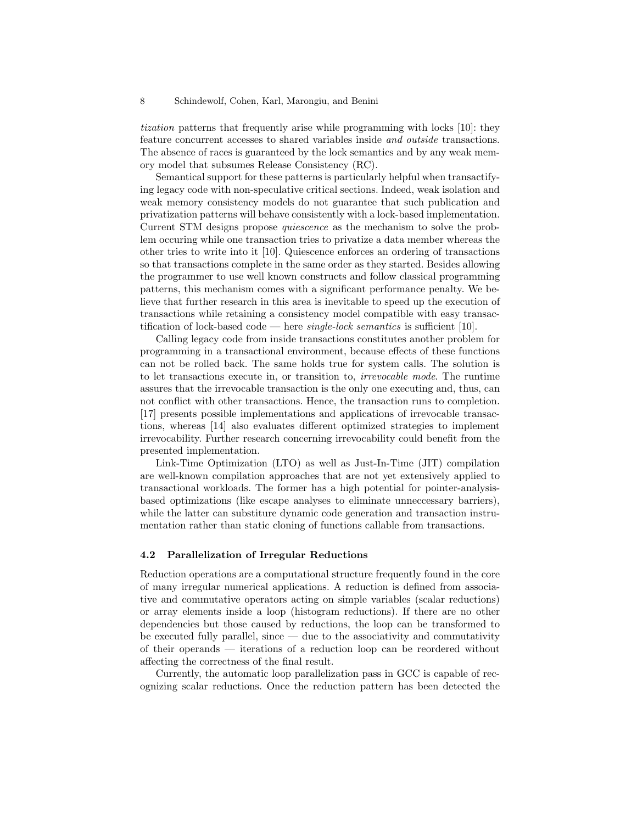tization patterns that frequently arise while programming with locks [10]: they feature concurrent accesses to shared variables inside and outside transactions. The absence of races is guaranteed by the lock semantics and by any weak memory model that subsumes Release Consistency (RC).

Semantical support for these patterns is particularly helpful when transactifying legacy code with non-speculative critical sections. Indeed, weak isolation and weak memory consistency models do not guarantee that such publication and privatization patterns will behave consistently with a lock-based implementation. Current STM designs propose quiescence as the mechanism to solve the problem occuring while one transaction tries to privatize a data member whereas the other tries to write into it [10]. Quiescence enforces an ordering of transactions so that transactions complete in the same order as they started. Besides allowing the programmer to use well known constructs and follow classical programming patterns, this mechanism comes with a significant performance penalty. We believe that further research in this area is inevitable to speed up the execution of transactions while retaining a consistency model compatible with easy transactification of lock-based code — here *single-lock semantics* is sufficient [10].

Calling legacy code from inside transactions constitutes another problem for programming in a transactional environment, because effects of these functions can not be rolled back. The same holds true for system calls. The solution is to let transactions execute in, or transition to, irrevocable mode. The runtime assures that the irrevocable transaction is the only one executing and, thus, can not conflict with other transactions. Hence, the transaction runs to completion. [17] presents possible implementations and applications of irrevocable transactions, whereas [14] also evaluates different optimized strategies to implement irrevocability. Further research concerning irrevocability could benefit from the presented implementation.

Link-Time Optimization (LTO) as well as Just-In-Time (JIT) compilation are well-known compilation approaches that are not yet extensively applied to transactional workloads. The former has a high potential for pointer-analysisbased optimizations (like escape analyses to eliminate unneccessary barriers), while the latter can substiture dynamic code generation and transaction instrumentation rather than static cloning of functions callable from transactions.

## 4.2 Parallelization of Irregular Reductions

Reduction operations are a computational structure frequently found in the core of many irregular numerical applications. A reduction is defined from associative and commutative operators acting on simple variables (scalar reductions) or array elements inside a loop (histogram reductions). If there are no other dependencies but those caused by reductions, the loop can be transformed to be executed fully parallel, since — due to the associativity and commutativity of their operands — iterations of a reduction loop can be reordered without affecting the correctness of the final result.

Currently, the automatic loop parallelization pass in GCC is capable of recognizing scalar reductions. Once the reduction pattern has been detected the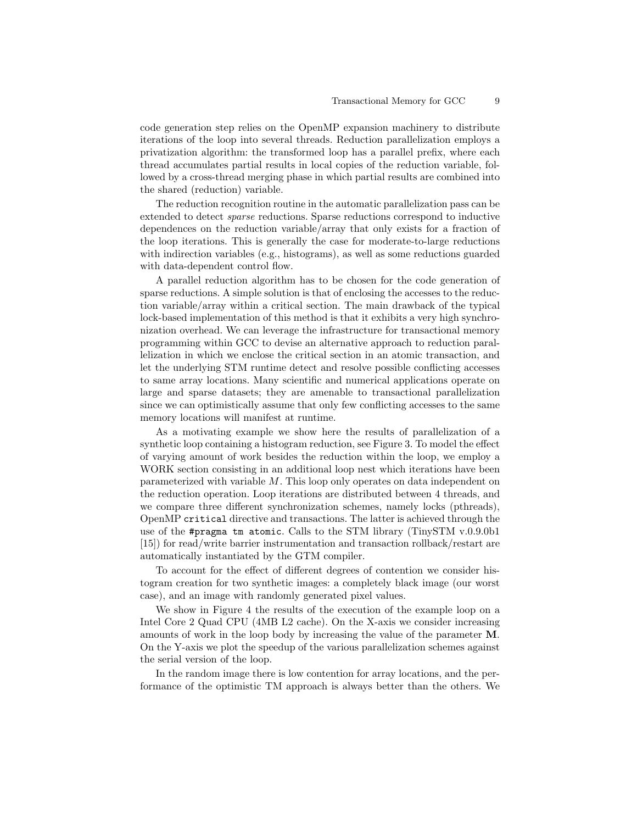code generation step relies on the OpenMP expansion machinery to distribute iterations of the loop into several threads. Reduction parallelization employs a privatization algorithm: the transformed loop has a parallel prefix, where each thread accumulates partial results in local copies of the reduction variable, followed by a cross-thread merging phase in which partial results are combined into the shared (reduction) variable.

The reduction recognition routine in the automatic parallelization pass can be extended to detect sparse reductions. Sparse reductions correspond to inductive dependences on the reduction variable/array that only exists for a fraction of the loop iterations. This is generally the case for moderate-to-large reductions with indirection variables (e.g., histograms), as well as some reductions guarded with data-dependent control flow.

A parallel reduction algorithm has to be chosen for the code generation of sparse reductions. A simple solution is that of enclosing the accesses to the reduction variable/array within a critical section. The main drawback of the typical lock-based implementation of this method is that it exhibits a very high synchronization overhead. We can leverage the infrastructure for transactional memory programming within GCC to devise an alternative approach to reduction parallelization in which we enclose the critical section in an atomic transaction, and let the underlying STM runtime detect and resolve possible conflicting accesses to same array locations. Many scientific and numerical applications operate on large and sparse datasets; they are amenable to transactional parallelization since we can optimistically assume that only few conflicting accesses to the same memory locations will manifest at runtime.

As a motivating example we show here the results of parallelization of a synthetic loop containing a histogram reduction, see Figure 3. To model the effect of varying amount of work besides the reduction within the loop, we employ a WORK section consisting in an additional loop nest which iterations have been parameterized with variable M. This loop only operates on data independent on the reduction operation. Loop iterations are distributed between 4 threads, and we compare three different synchronization schemes, namely locks (pthreads), OpenMP critical directive and transactions. The latter is achieved through the use of the #pragma tm atomic. Calls to the STM library (TinySTM v.0.9.0b1 [15]) for read/write barrier instrumentation and transaction rollback/restart are automatically instantiated by the GTM compiler.

To account for the effect of different degrees of contention we consider histogram creation for two synthetic images: a completely black image (our worst case), and an image with randomly generated pixel values.

We show in Figure 4 the results of the execution of the example loop on a Intel Core 2 Quad CPU (4MB L2 cache). On the X-axis we consider increasing amounts of work in the loop body by increasing the value of the parameter M. On the Y-axis we plot the speedup of the various parallelization schemes against the serial version of the loop.

In the random image there is low contention for array locations, and the performance of the optimistic TM approach is always better than the others. We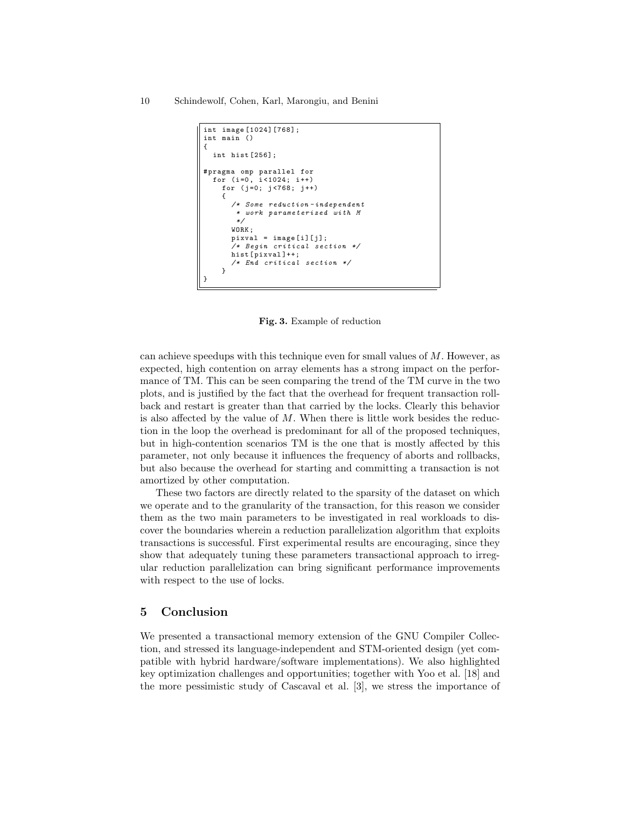```
int image [1024][768];
int main ()
{
  int hist [256];
# pragma omp parallel for
  for (i=0, i<1024; i++)for (j =0; j <768; j ++)
    {
      /* Some reduction - independent
       * work parameterized with M
       */
      WORK ;
      pixval = image[i][j];/* Begin critical section */
      hist [ pixval ]++;
      /* End critical section */
    }
}
```
Fig. 3. Example of reduction

can achieve speedups with this technique even for small values of  $M$ . However, as expected, high contention on array elements has a strong impact on the performance of TM. This can be seen comparing the trend of the TM curve in the two plots, and is justified by the fact that the overhead for frequent transaction rollback and restart is greater than that carried by the locks. Clearly this behavior is also affected by the value of  $M$ . When there is little work besides the reduction in the loop the overhead is predominant for all of the proposed techniques, but in high-contention scenarios TM is the one that is mostly affected by this parameter, not only because it influences the frequency of aborts and rollbacks, but also because the overhead for starting and committing a transaction is not amortized by other computation.

These two factors are directly related to the sparsity of the dataset on which we operate and to the granularity of the transaction, for this reason we consider them as the two main parameters to be investigated in real workloads to discover the boundaries wherein a reduction parallelization algorithm that exploits transactions is successful. First experimental results are encouraging, since they show that adequately tuning these parameters transactional approach to irregular reduction parallelization can bring significant performance improvements with respect to the use of locks.

## 5 Conclusion

We presented a transactional memory extension of the GNU Compiler Collection, and stressed its language-independent and STM-oriented design (yet compatible with hybrid hardware/software implementations). We also highlighted key optimization challenges and opportunities; together with Yoo et al. [18] and the more pessimistic study of Cascaval et al. [3], we stress the importance of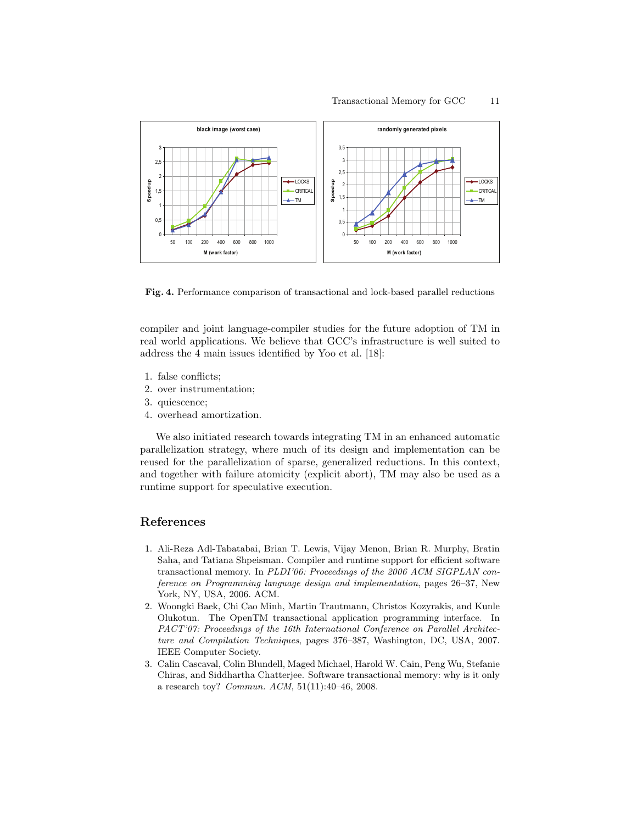

Fig. 4. Performance comparison of transactional and lock-based parallel reductions

compiler and joint language-compiler studies for the future adoption of TM in real world applications. We believe that GCC's infrastructure is well suited to address the 4 main issues identified by Yoo et al. [18]:

- 1. false conflicts;
- 2. over instrumentation;
- 3. quiescence;
- 4. overhead amortization.

We also initiated research towards integrating TM in an enhanced automatic parallelization strategy, where much of its design and implementation can be reused for the parallelization of sparse, generalized reductions. In this context, and together with failure atomicity (explicit abort), TM may also be used as a runtime support for speculative execution.

## References

- 1. Ali-Reza Adl-Tabatabai, Brian T. Lewis, Vijay Menon, Brian R. Murphy, Bratin Saha, and Tatiana Shpeisman. Compiler and runtime support for efficient software transactional memory. In *PLDI'06: Proceedings of the 2006 ACM SIGPLAN conference on Programming language design and implementation*, pages 26–37, New York, NY, USA, 2006. ACM.
- 2. Woongki Baek, Chi Cao Minh, Martin Trautmann, Christos Kozyrakis, and Kunle Olukotun. The OpenTM transactional application programming interface. In *PACT'07: Proceedings of the 16th International Conference on Parallel Architecture and Compilation Techniques*, pages 376–387, Washington, DC, USA, 2007. IEEE Computer Society.
- 3. Calin Cascaval, Colin Blundell, Maged Michael, Harold W. Cain, Peng Wu, Stefanie Chiras, and Siddhartha Chatterjee. Software transactional memory: why is it only a research toy? *Commun. ACM*, 51(11):40–46, 2008.